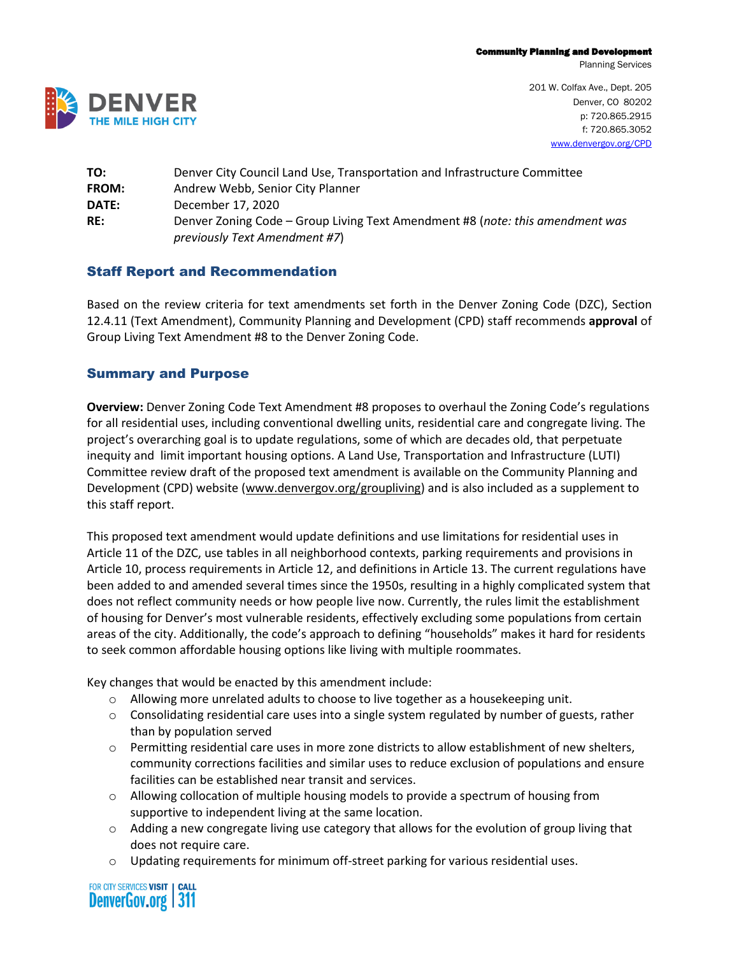Planning Services



201 W. Colfax Ave., Dept. 205 Denver, CO 80202 p: 720.865.2915 f: 720.865.3052 [www.denvergov.org/CPD](http://www.denvergov.org/CPD)

| TO:   | Denver City Council Land Use, Transportation and Infrastructure Committee                                      |
|-------|----------------------------------------------------------------------------------------------------------------|
| FROM: | Andrew Webb, Senior City Planner                                                                               |
| DATE: | December 17, 2020                                                                                              |
| RE:   | Denver Zoning Code - Group Living Text Amendment #8 (note: this amendment was<br>previously Text Amendment #7) |

## Staff Report and Recommendation

Based on the review criteria for text amendments set forth in the Denver Zoning Code (DZC), Section 12.4.11 (Text Amendment), Community Planning and Development (CPD) staff recommends **approval** of Group Living Text Amendment #8 to the Denver Zoning Code.

## Summary and Purpose

**Overview:** Denver Zoning Code Text Amendment #8 proposes to overhaul the Zoning Code's regulations for all residential uses, including conventional dwelling units, residential care and congregate living. The project's overarching goal is to update regulations, some of which are decades old, that perpetuate inequity and limit important housing options. A Land Use, Transportation and Infrastructure (LUTI) Committee review draft of the proposed text amendment is available on the Community Planning and Development (CPD) website [\(www.denvergov.org/groupliving\)](http://www.denvergov.org/groupliving) and is also included as a supplement to this staff report.

This proposed text amendment would update definitions and use limitations for residential uses in Article 11 of the DZC, use tables in all neighborhood contexts, parking requirements and provisions in Article 10, process requirements in Article 12, and definitions in Article 13. The current regulations have been added to and amended several times since the 1950s, resulting in a highly complicated system that does not reflect community needs or how people live now. Currently, the rules limit the establishment of housing for Denver's most vulnerable residents, effectively excluding some populations from certain areas of the city. Additionally, the code's approach to defining "households" makes it hard for residents to seek common affordable housing options like living with multiple roommates.

Key changes that would be enacted by this amendment include:

- $\circ$  Allowing more unrelated adults to choose to live together as a housekeeping unit.
- $\circ$  Consolidating residential care uses into a single system regulated by number of guests, rather than by population served
- $\circ$  Permitting residential care uses in more zone districts to allow establishment of new shelters, community corrections facilities and similar uses to reduce exclusion of populations and ensure facilities can be established near transit and services.
- o Allowing collocation of multiple housing models to provide a spectrum of housing from supportive to independent living at the same location.
- o Adding a new congregate living use category that allows for the evolution of group living that does not require care.
- o Updating requirements for minimum off-street parking for various residential uses.

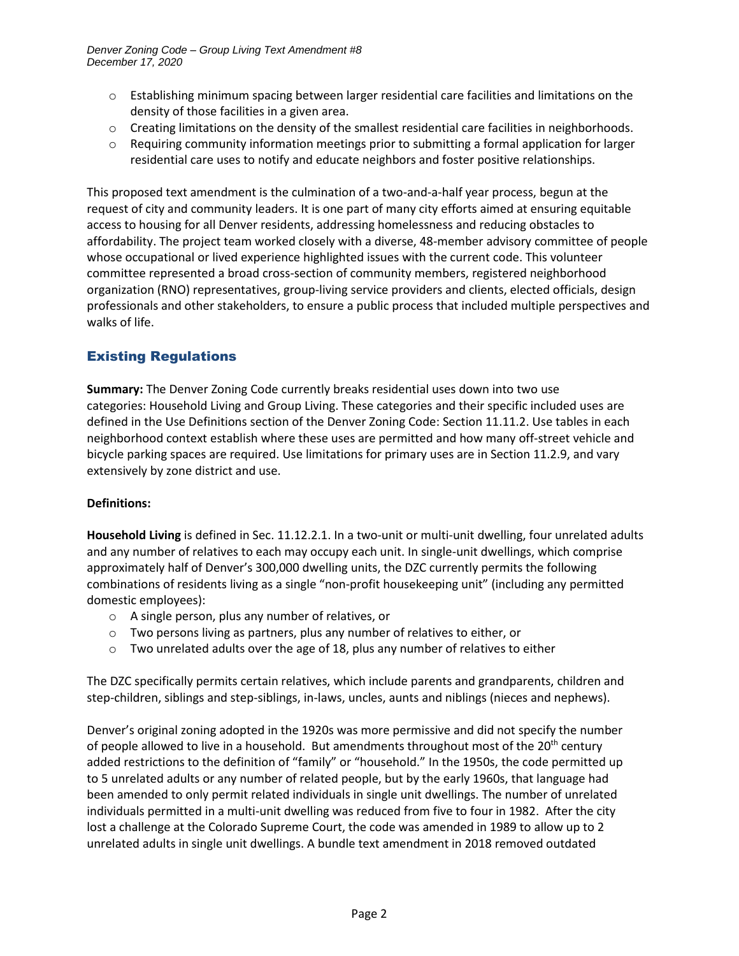- $\circ$  Establishing minimum spacing between larger residential care facilities and limitations on the density of those facilities in a given area.
- $\circ$  Creating limitations on the density of the smallest residential care facilities in neighborhoods.
- $\circ$  Requiring community information meetings prior to submitting a formal application for larger residential care uses to notify and educate neighbors and foster positive relationships.

This proposed text amendment is the culmination of a two-and-a-half year process, begun at the request of city and community leaders. It is one part of many city efforts aimed at ensuring equitable access to housing for all Denver residents, addressing homelessness and reducing obstacles to affordability. The project team worked closely with a diverse, 48-member advisory committee of people whose occupational or lived experience highlighted issues with the current code. This volunteer committee represented a broad cross-section of community members, registered neighborhood organization (RNO) representatives, group-living service providers and clients, elected officials, design professionals and other stakeholders, to ensure a public process that included multiple perspectives and walks of life.

## Existing Regulations

**Summary:** The Denver Zoning Code currently breaks residential uses down into two use categories: Household Living and Group Living. These categories and their specific included uses are defined in the Use Definitions section of the Denver Zoning Code: Section 11.11.2. Use tables in each neighborhood context establish where these uses are permitted and how many off-street vehicle and bicycle parking spaces are required. Use limitations for primary uses are in Section 11.2.9, and vary extensively by zone district and use.

#### **Definitions:**

**Household Living** is defined in Sec. 11.12.2.1. In a two-unit or multi-unit dwelling, four unrelated adults and any number of relatives to each may occupy each unit. In single-unit dwellings, which comprise approximately half of Denver's 300,000 dwelling units, the DZC currently permits the following combinations of residents living as a single "non-profit housekeeping unit" (including any permitted domestic employees):

- o A single person, plus any number of relatives, or
- o Two persons living as partners, plus any number of relatives to either, or
- $\circ$  Two unrelated adults over the age of 18, plus any number of relatives to either

The DZC specifically permits certain relatives, which include parents and grandparents, children and step-children, siblings and step-siblings, in-laws, uncles, aunts and niblings (nieces and nephews).

Denver's original zoning adopted in the 1920s was more permissive and did not specify the number of people allowed to live in a household. But amendments throughout most of the  $20<sup>th</sup>$  century added restrictions to the definition of "family" or "household." In the 1950s, the code permitted up to 5 unrelated adults or any number of related people, but by the early 1960s, that language had been amended to only permit related individuals in single unit dwellings. The number of unrelated individuals permitted in a multi-unit dwelling was reduced from five to four in 1982. After the city lost a challenge at the Colorado Supreme Court, the code was amended in 1989 to allow up to 2 unrelated adults in single unit dwellings. A bundle text amendment in 2018 removed outdated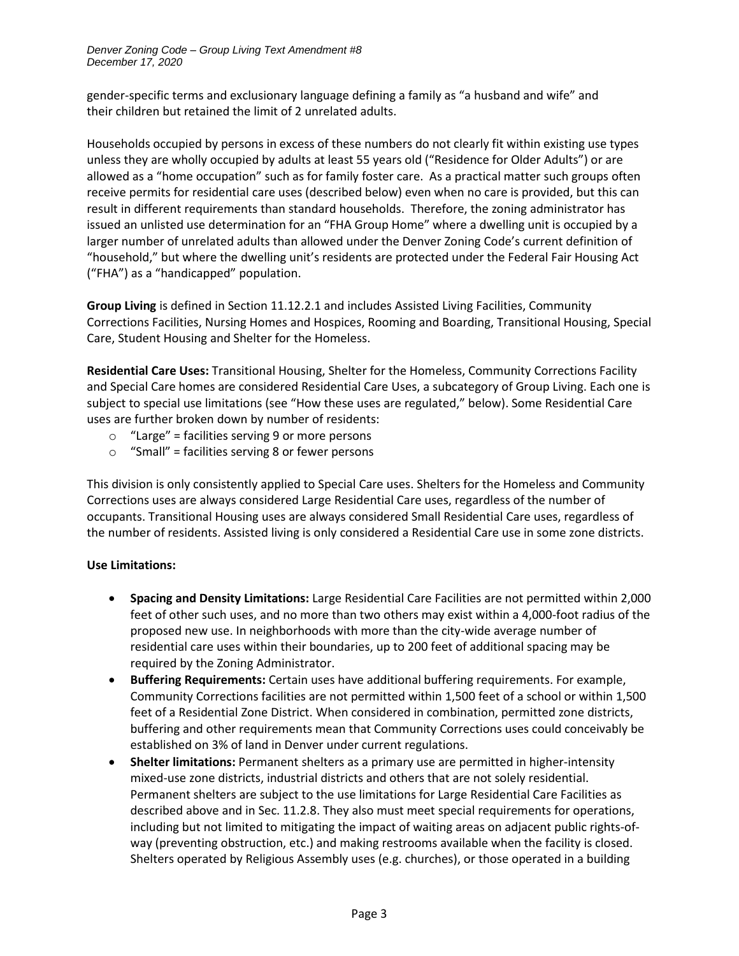gender-specific terms and exclusionary language defining a family as "a husband and wife" and their children but retained the limit of 2 unrelated adults.

Households occupied by persons in excess of these numbers do not clearly fit within existing use types unless they are wholly occupied by adults at least 55 years old ("Residence for Older Adults") or are allowed as a "home occupation" such as for family foster care. As a practical matter such groups often receive permits for residential care uses (described below) even when no care is provided, but this can result in different requirements than standard households. Therefore, the zoning administrator has issued an unlisted use determination for an "FHA Group Home" where a dwelling unit is occupied by a larger number of unrelated adults than allowed under the Denver Zoning Code's current definition of "household," but where the dwelling unit's residents are protected under the Federal Fair Housing Act ("FHA") as a "handicapped" population.

**Group Living** is defined in Section 11.12.2.1 and includes Assisted Living Facilities, Community Corrections Facilities, Nursing Homes and Hospices, Rooming and Boarding, Transitional Housing, Special Care, Student Housing and Shelter for the Homeless.

**Residential Care Uses:** Transitional Housing, Shelter for the Homeless, Community Corrections Facility and Special Care homes are considered Residential Care Uses, a subcategory of Group Living. Each one is subject to special use limitations (see "How these uses are regulated," below). Some Residential Care uses are further broken down by number of residents:

- $\circ$  "Large" = facilities serving 9 or more persons
- o "Small" = facilities serving 8 or fewer persons

This division is only consistently applied to Special Care uses. Shelters for the Homeless and Community Corrections uses are always considered Large Residential Care uses, regardless of the number of occupants. Transitional Housing uses are always considered Small Residential Care uses, regardless of the number of residents. Assisted living is only considered a Residential Care use in some zone districts.

## **Use Limitations:**

- **Spacing and Density Limitations:** Large Residential Care Facilities are not permitted within 2,000 feet of other such uses, and no more than two others may exist within a 4,000-foot radius of the proposed new use. In neighborhoods with more than the city-wide average number of residential care uses within their boundaries, up to 200 feet of additional spacing may be required by the Zoning Administrator.
- **Buffering Requirements:** Certain uses have additional buffering requirements. For example, Community Corrections facilities are not permitted within 1,500 feet of a school or within 1,500 feet of a Residential Zone District. When considered in combination, permitted zone districts, buffering and other requirements mean that Community Corrections uses could conceivably be established on 3% of land in Denver under current regulations.
- **Shelter limitations:** Permanent shelters as a primary use are permitted in higher-intensity mixed-use zone districts, industrial districts and others that are not solely residential. Permanent shelters are subject to the use limitations for Large Residential Care Facilities as described above and in Sec. 11.2.8. They also must meet special requirements for operations, including but not limited to mitigating the impact of waiting areas on adjacent public rights-ofway (preventing obstruction, etc.) and making restrooms available when the facility is closed. Shelters operated by Religious Assembly uses (e.g. churches), or those operated in a building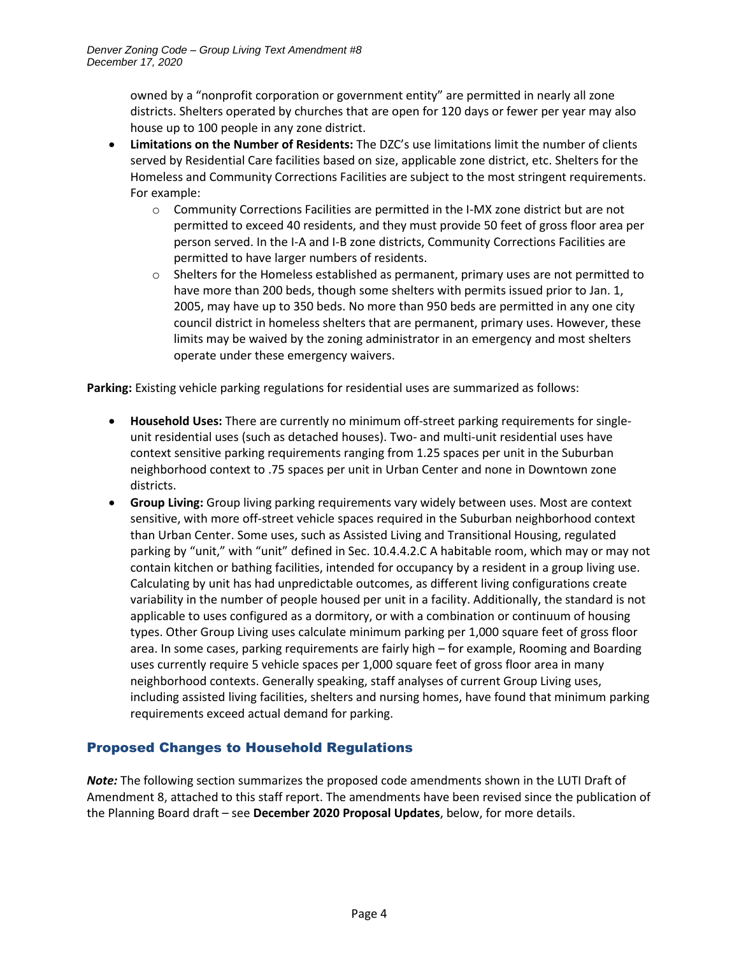owned by a "nonprofit corporation or government entity" are permitted in nearly all zone districts. Shelters operated by churches that are open for 120 days or fewer per year may also house up to 100 people in any zone district.

- **Limitations on the Number of Residents:** The DZC's use limitations limit the number of clients served by Residential Care facilities based on size, applicable zone district, etc. Shelters for the Homeless and Community Corrections Facilities are subject to the most stringent requirements. For example:
	- $\circ$  Community Corrections Facilities are permitted in the I-MX zone district but are not permitted to exceed 40 residents, and they must provide 50 feet of gross floor area per person served. In the I-A and I-B zone districts, Community Corrections Facilities are permitted to have larger numbers of residents.
	- $\circ$  Shelters for the Homeless established as permanent, primary uses are not permitted to have more than 200 beds, though some shelters with permits issued prior to Jan. 1, 2005, may have up to 350 beds. No more than 950 beds are permitted in any one city council district in homeless shelters that are permanent, primary uses. However, these limits may be waived by the zoning administrator in an emergency and most shelters operate under these emergency waivers.

**Parking:** Existing vehicle parking regulations for residential uses are summarized as follows:

- **Household Uses:** There are currently no minimum off-street parking requirements for singleunit residential uses (such as detached houses). Two- and multi-unit residential uses have context sensitive parking requirements ranging from 1.25 spaces per unit in the Suburban neighborhood context to .75 spaces per unit in Urban Center and none in Downtown zone districts.
- **Group Living:** Group living parking requirements vary widely between uses. Most are context sensitive, with more off-street vehicle spaces required in the Suburban neighborhood context than Urban Center. Some uses, such as Assisted Living and Transitional Housing, regulated parking by "unit," with "unit" defined in Sec. 10.4.4.2.C A habitable room, which may or may not contain kitchen or bathing facilities, intended for occupancy by a resident in a group living use. Calculating by unit has had unpredictable outcomes, as different living configurations create variability in the number of people housed per unit in a facility. Additionally, the standard is not applicable to uses configured as a dormitory, or with a combination or continuum of housing types. Other Group Living uses calculate minimum parking per 1,000 square feet of gross floor area. In some cases, parking requirements are fairly high – for example, Rooming and Boarding uses currently require 5 vehicle spaces per 1,000 square feet of gross floor area in many neighborhood contexts. Generally speaking, staff analyses of current Group Living uses, including assisted living facilities, shelters and nursing homes, have found that minimum parking requirements exceed actual demand for parking.

## Proposed Changes to Household Regulations

*Note:* The following section summarizes the proposed code amendments shown in the LUTI Draft of Amendment 8, attached to this staff report. The amendments have been revised since the publication of the Planning Board draft – see **December 2020 Proposal Updates**, below, for more details.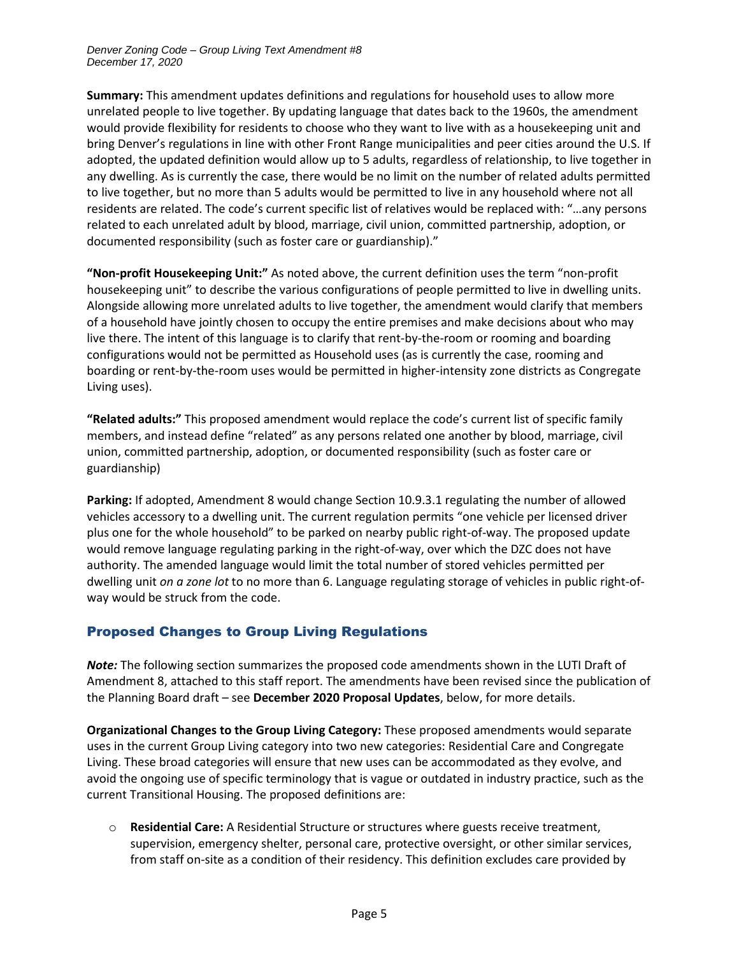**Summary:** This amendment updates definitions and regulations for household uses to allow more unrelated people to live together. By updating language that dates back to the 1960s, the amendment would provide flexibility for residents to choose who they want to live with as a housekeeping unit and bring Denver's regulations in line with other Front Range municipalities and peer cities around the U.S. If adopted, the updated definition would allow up to 5 adults, regardless of relationship, to live together in any dwelling. As is currently the case, there would be no limit on the number of related adults permitted to live together, but no more than 5 adults would be permitted to live in any household where not all residents are related. The code's current specific list of relatives would be replaced with: "…any persons related to each unrelated adult by blood, marriage, civil union, committed partnership, adoption, or documented responsibility (such as foster care or guardianship)."

**"Non-profit Housekeeping Unit:"** As noted above, the current definition uses the term "non-profit housekeeping unit" to describe the various configurations of people permitted to live in dwelling units. Alongside allowing more unrelated adults to live together, the amendment would clarify that members of a household have jointly chosen to occupy the entire premises and make decisions about who may live there. The intent of this language is to clarify that rent-by-the-room or rooming and boarding configurations would not be permitted as Household uses (as is currently the case, rooming and boarding or rent-by-the-room uses would be permitted in higher-intensity zone districts as Congregate Living uses).

**"Related adults:"** This proposed amendment would replace the code's current list of specific family members, and instead define "related" as any persons related one another by blood, marriage, civil union, committed partnership, adoption, or documented responsibility (such as foster care or guardianship)

**Parking:** If adopted, Amendment 8 would change Section 10.9.3.1 regulating the number of allowed vehicles accessory to a dwelling unit. The current regulation permits "one vehicle per licensed driver plus one for the whole household" to be parked on nearby public right-of-way. The proposed update would remove language regulating parking in the right-of-way, over which the DZC does not have authority. The amended language would limit the total number of stored vehicles permitted per dwelling unit *on a zone lot* to no more than 6. Language regulating storage of vehicles in public right-ofway would be struck from the code.

## Proposed Changes to Group Living Regulations

*Note:* The following section summarizes the proposed code amendments shown in the LUTI Draft of Amendment 8, attached to this staff report. The amendments have been revised since the publication of the Planning Board draft – see **December 2020 Proposal Updates**, below, for more details.

**Organizational Changes to the Group Living Category:** These proposed amendments would separate uses in the current Group Living category into two new categories: Residential Care and Congregate Living. These broad categories will ensure that new uses can be accommodated as they evolve, and avoid the ongoing use of specific terminology that is vague or outdated in industry practice, such as the current Transitional Housing. The proposed definitions are:

o **Residential Care:** A Residential Structure or structures where guests receive treatment, supervision, emergency shelter, personal care, protective oversight, or other similar services, from staff on-site as a condition of their residency. This definition excludes care provided by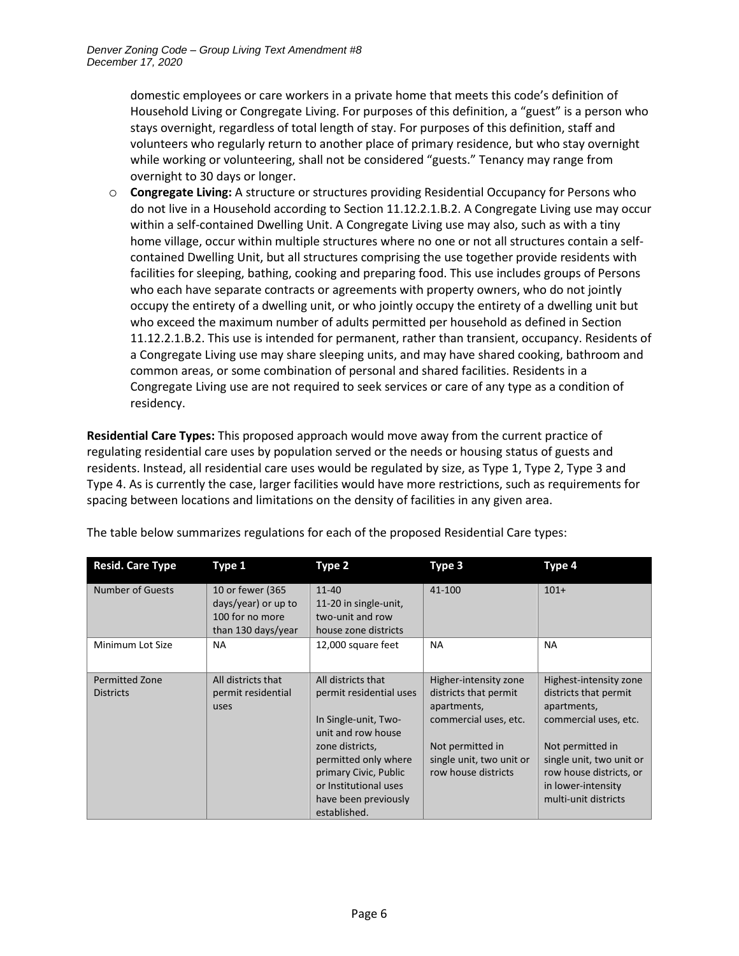domestic employees or care workers in a private home that meets this code's definition of Household Living or Congregate Living. For purposes of this definition, a "guest" is a person who stays overnight, regardless of total length of stay. For purposes of this definition, staff and volunteers who regularly return to another place of primary residence, but who stay overnight while working or volunteering, shall not be considered "guests." Tenancy may range from overnight to 30 days or longer.

o **Congregate Living:** A structure or structures providing Residential Occupancy for Persons who do not live in a Household according to Section 11.12.2.1.B.2. A Congregate Living use may occur within a self-contained Dwelling Unit. A Congregate Living use may also, such as with a tiny home village, occur within multiple structures where no one or not all structures contain a selfcontained Dwelling Unit, but all structures comprising the use together provide residents with facilities for sleeping, bathing, cooking and preparing food. This use includes groups of Persons who each have separate contracts or agreements with property owners, who do not jointly occupy the entirety of a dwelling unit, or who jointly occupy the entirety of a dwelling unit but who exceed the maximum number of adults permitted per household as defined in Section 11.12.2.1.B.2. This use is intended for permanent, rather than transient, occupancy. Residents of a Congregate Living use may share sleeping units, and may have shared cooking, bathroom and common areas, or some combination of personal and shared facilities. Residents in a Congregate Living use are not required to seek services or care of any type as a condition of residency.

**Residential Care Types:** This proposed approach would move away from the current practice of regulating residential care uses by population served or the needs or housing status of guests and residents. Instead, all residential care uses would be regulated by size, as Type 1, Type 2, Type 3 and Type 4. As is currently the case, larger facilities would have more restrictions, such as requirements for spacing between locations and limitations on the density of facilities in any given area.

| <b>Resid. Care Type</b> | Type 1                                                     | Type 2                                                 | Type 3                                          | Type 4                                              |
|-------------------------|------------------------------------------------------------|--------------------------------------------------------|-------------------------------------------------|-----------------------------------------------------|
| Number of Guests        | 10 or fewer (365<br>days/year) or up to<br>100 for no more | $11 - 40$<br>11-20 in single-unit,<br>two-unit and row | 41-100                                          | $101+$                                              |
|                         | than 130 days/year                                         | house zone districts                                   |                                                 |                                                     |
| Minimum Lot Size        | <b>NA</b>                                                  | 12,000 square feet                                     | <b>NA</b>                                       | NA.                                                 |
| <b>Permitted Zone</b>   | All districts that                                         | All districts that                                     | Higher-intensity zone                           | Highest-intensity zone                              |
| <b>Districts</b>        | permit residential<br>uses                                 | permit residential uses                                | districts that permit<br>apartments,            | districts that permit<br>apartments,                |
|                         |                                                            | In Single-unit, Two-<br>unit and row house             | commercial uses, etc.                           | commercial uses, etc.                               |
|                         |                                                            | zone districts,                                        | Not permitted in                                | Not permitted in                                    |
|                         |                                                            | permitted only where<br>primary Civic, Public          | single unit, two unit or<br>row house districts | single unit, two unit or<br>row house districts, or |
|                         |                                                            | or Institutional uses                                  |                                                 | in lower-intensity                                  |
|                         |                                                            | have been previously                                   |                                                 | multi-unit districts                                |
|                         |                                                            | established.                                           |                                                 |                                                     |

The table below summarizes regulations for each of the proposed Residential Care types: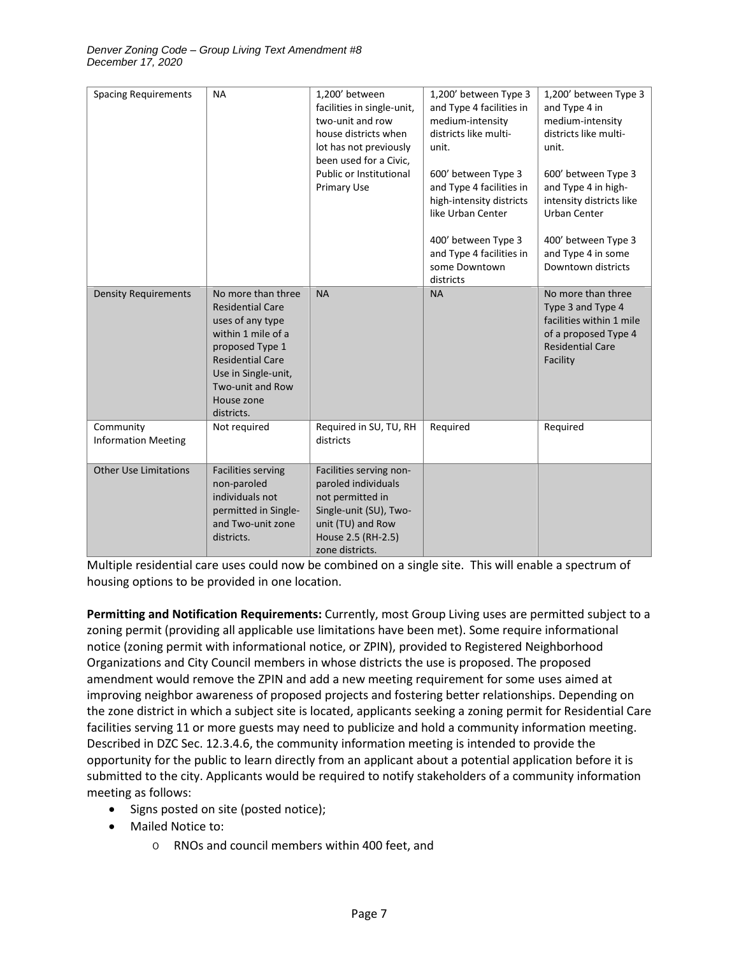| <b>Spacing Requirements</b>             | <b>NA</b>                                                                                                                                                                                                    | 1,200' between<br>facilities in single-unit,<br>two-unit and row<br>house districts when<br>lot has not previously<br>been used for a Civic,<br>Public or Institutional<br>Primary Use | 1,200' between Type 3<br>and Type 4 facilities in<br>medium-intensity<br>districts like multi-<br>unit.<br>600' between Type 3<br>and Type 4 facilities in<br>high-intensity districts<br>like Urban Center<br>400' between Type 3<br>and Type 4 facilities in<br>some Downtown<br>districts | 1,200' between Type 3<br>and Type 4 in<br>medium-intensity<br>districts like multi-<br>unit.<br>600' between Type 3<br>and Type 4 in high-<br>intensity districts like<br>Urban Center<br>400' between Type 3<br>and Type 4 in some<br>Downtown districts |
|-----------------------------------------|--------------------------------------------------------------------------------------------------------------------------------------------------------------------------------------------------------------|----------------------------------------------------------------------------------------------------------------------------------------------------------------------------------------|----------------------------------------------------------------------------------------------------------------------------------------------------------------------------------------------------------------------------------------------------------------------------------------------|-----------------------------------------------------------------------------------------------------------------------------------------------------------------------------------------------------------------------------------------------------------|
| <b>Density Requirements</b>             | No more than three<br><b>Residential Care</b><br>uses of any type<br>within 1 mile of a<br>proposed Type 1<br><b>Residential Care</b><br>Use in Single-unit,<br>Two-unit and Row<br>House zone<br>districts. | <b>NA</b>                                                                                                                                                                              | <b>NA</b>                                                                                                                                                                                                                                                                                    | No more than three<br>Type 3 and Type 4<br>facilities within 1 mile<br>of a proposed Type 4<br><b>Residential Care</b><br>Facility                                                                                                                        |
| Community<br><b>Information Meeting</b> | Not required                                                                                                                                                                                                 | Required in SU, TU, RH<br>districts                                                                                                                                                    | Required                                                                                                                                                                                                                                                                                     | Required                                                                                                                                                                                                                                                  |
| <b>Other Use Limitations</b>            | <b>Facilities serving</b><br>non-paroled<br>individuals not<br>permitted in Single-<br>and Two-unit zone<br>districts.                                                                                       | Facilities serving non-<br>paroled individuals<br>not permitted in<br>Single-unit (SU), Two-<br>unit (TU) and Row<br>House 2.5 (RH-2.5)<br>zone districts.                             |                                                                                                                                                                                                                                                                                              |                                                                                                                                                                                                                                                           |

Multiple residential care uses could now be combined on a single site. This will enable a spectrum of housing options to be provided in one location.

**Permitting and Notification Requirements:** Currently, most Group Living uses are permitted subject to a zoning permit (providing all applicable use limitations have been met). Some require informational notice (zoning permit with informational notice, or ZPIN), provided to Registered Neighborhood Organizations and City Council members in whose districts the use is proposed. The proposed amendment would remove the ZPIN and add a new meeting requirement for some uses aimed at improving neighbor awareness of proposed projects and fostering better relationships. Depending on the zone district in which a subject site is located, applicants seeking a zoning permit for Residential Care facilities serving 11 or more guests may need to publicize and hold a community information meeting. Described in DZC Sec. 12.3.4.6, the community information meeting is intended to provide the opportunity for the public to learn directly from an applicant about a potential application before it is submitted to the city. Applicants would be required to notify stakeholders of a community information meeting as follows:

- Signs posted on site (posted notice);
- Mailed Notice to:
	- o RNOs and council members within 400 feet, and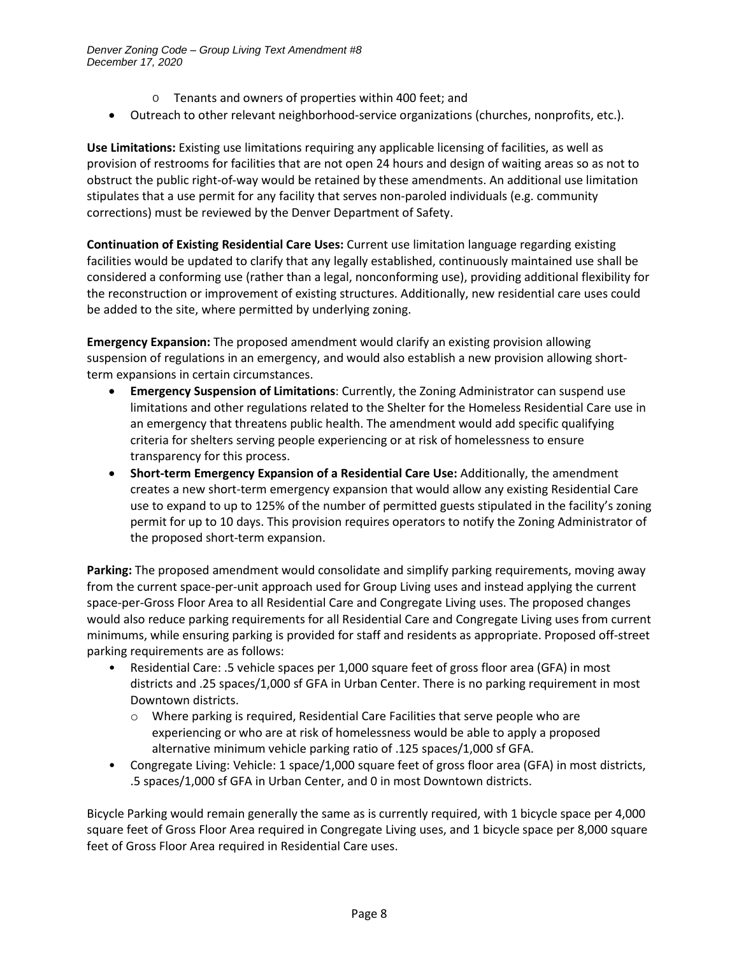- o Tenants and owners of properties within 400 feet; and
- Outreach to other relevant neighborhood-service organizations (churches, nonprofits, etc.).

**Use Limitations:** Existing use limitations requiring any applicable licensing of facilities, as well as provision of restrooms for facilities that are not open 24 hours and design of waiting areas so as not to obstruct the public right-of-way would be retained by these amendments. An additional use limitation stipulates that a use permit for any facility that serves non-paroled individuals (e.g. community corrections) must be reviewed by the Denver Department of Safety.

**Continuation of Existing Residential Care Uses:** Current use limitation language regarding existing facilities would be updated to clarify that any legally established, continuously maintained use shall be considered a conforming use (rather than a legal, nonconforming use), providing additional flexibility for the reconstruction or improvement of existing structures. Additionally, new residential care uses could be added to the site, where permitted by underlying zoning.

**Emergency Expansion:** The proposed amendment would clarify an existing provision allowing suspension of regulations in an emergency, and would also establish a new provision allowing shortterm expansions in certain circumstances.

- **Emergency Suspension of Limitations**: Currently, the Zoning Administrator can suspend use limitations and other regulations related to the Shelter for the Homeless Residential Care use in an emergency that threatens public health. The amendment would add specific qualifying criteria for shelters serving people experiencing or at risk of homelessness to ensure transparency for this process.
- **Short-term Emergency Expansion of a Residential Care Use:** Additionally, the amendment creates a new short-term emergency expansion that would allow any existing Residential Care use to expand to up to 125% of the number of permitted guests stipulated in the facility's zoning permit for up to 10 days. This provision requires operators to notify the Zoning Administrator of the proposed short-term expansion.

**Parking:** The proposed amendment would consolidate and simplify parking requirements, moving away from the current space-per-unit approach used for Group Living uses and instead applying the current space-per-Gross Floor Area to all Residential Care and Congregate Living uses. The proposed changes would also reduce parking requirements for all Residential Care and Congregate Living uses from current minimums, while ensuring parking is provided for staff and residents as appropriate. Proposed off-street parking requirements are as follows:

- Residential Care: .5 vehicle spaces per 1,000 square feet of gross floor area (GFA) in most districts and .25 spaces/1,000 sf GFA in Urban Center. There is no parking requirement in most Downtown districts.
	- o Where parking is required, Residential Care Facilities that serve people who are experiencing or who are at risk of homelessness would be able to apply a proposed alternative minimum vehicle parking ratio of .125 spaces/1,000 sf GFA.
- Congregate Living: Vehicle: 1 space/1,000 square feet of gross floor area (GFA) in most districts, .5 spaces/1,000 sf GFA in Urban Center, and 0 in most Downtown districts.

Bicycle Parking would remain generally the same as is currently required, with 1 bicycle space per 4,000 square feet of Gross Floor Area required in Congregate Living uses, and 1 bicycle space per 8,000 square feet of Gross Floor Area required in Residential Care uses.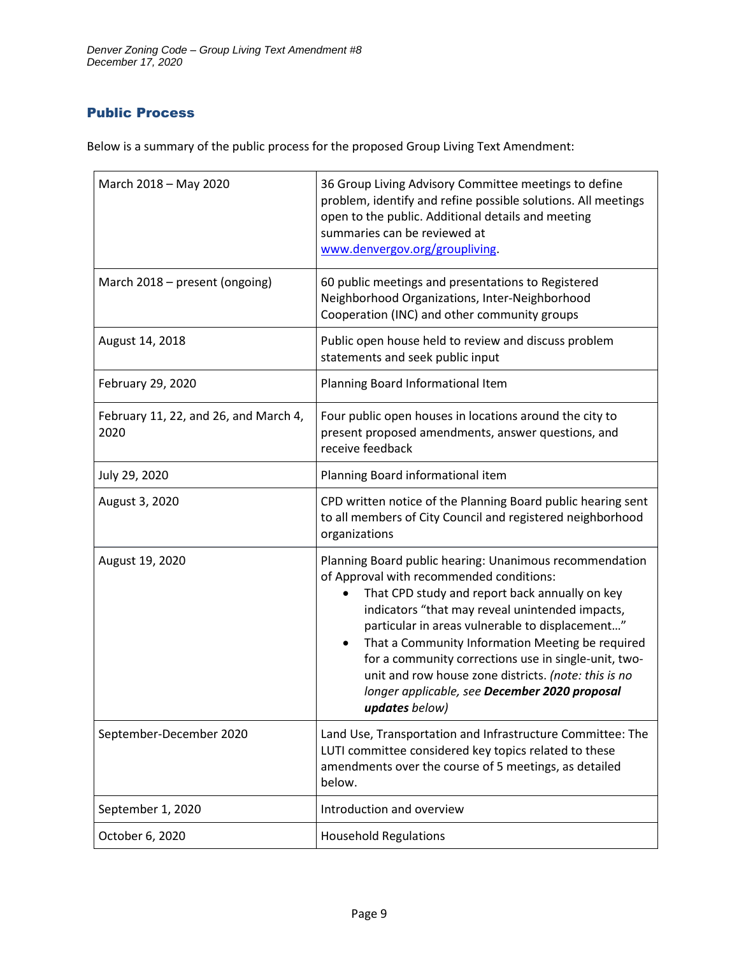# Public Process

Below is a summary of the public process for the proposed Group Living Text Amendment:

| March 2018 - May 2020                         | 36 Group Living Advisory Committee meetings to define<br>problem, identify and refine possible solutions. All meetings<br>open to the public. Additional details and meeting<br>summaries can be reviewed at<br>www.denvergov.org/groupliving.                                                                                                                                                                                                                                                                  |  |  |
|-----------------------------------------------|-----------------------------------------------------------------------------------------------------------------------------------------------------------------------------------------------------------------------------------------------------------------------------------------------------------------------------------------------------------------------------------------------------------------------------------------------------------------------------------------------------------------|--|--|
| March 2018 - present (ongoing)                | 60 public meetings and presentations to Registered<br>Neighborhood Organizations, Inter-Neighborhood<br>Cooperation (INC) and other community groups                                                                                                                                                                                                                                                                                                                                                            |  |  |
| August 14, 2018                               | Public open house held to review and discuss problem<br>statements and seek public input                                                                                                                                                                                                                                                                                                                                                                                                                        |  |  |
| February 29, 2020                             | Planning Board Informational Item                                                                                                                                                                                                                                                                                                                                                                                                                                                                               |  |  |
| February 11, 22, and 26, and March 4,<br>2020 | Four public open houses in locations around the city to<br>present proposed amendments, answer questions, and<br>receive feedback                                                                                                                                                                                                                                                                                                                                                                               |  |  |
| July 29, 2020                                 | Planning Board informational item                                                                                                                                                                                                                                                                                                                                                                                                                                                                               |  |  |
| August 3, 2020                                | CPD written notice of the Planning Board public hearing sent<br>to all members of City Council and registered neighborhood<br>organizations                                                                                                                                                                                                                                                                                                                                                                     |  |  |
| August 19, 2020                               | Planning Board public hearing: Unanimous recommendation<br>of Approval with recommended conditions:<br>That CPD study and report back annually on key<br>indicators "that may reveal unintended impacts,<br>particular in areas vulnerable to displacement"<br>That a Community Information Meeting be required<br>$\bullet$<br>for a community corrections use in single-unit, two-<br>unit and row house zone districts. (note: this is no<br>longer applicable, see December 2020 proposal<br>updates below) |  |  |
| September-December 2020                       | Land Use, Transportation and Infrastructure Committee: The<br>LUTI committee considered key topics related to these<br>amendments over the course of 5 meetings, as detailed<br>below.                                                                                                                                                                                                                                                                                                                          |  |  |
| September 1, 2020                             | Introduction and overview                                                                                                                                                                                                                                                                                                                                                                                                                                                                                       |  |  |
| October 6, 2020                               | <b>Household Regulations</b>                                                                                                                                                                                                                                                                                                                                                                                                                                                                                    |  |  |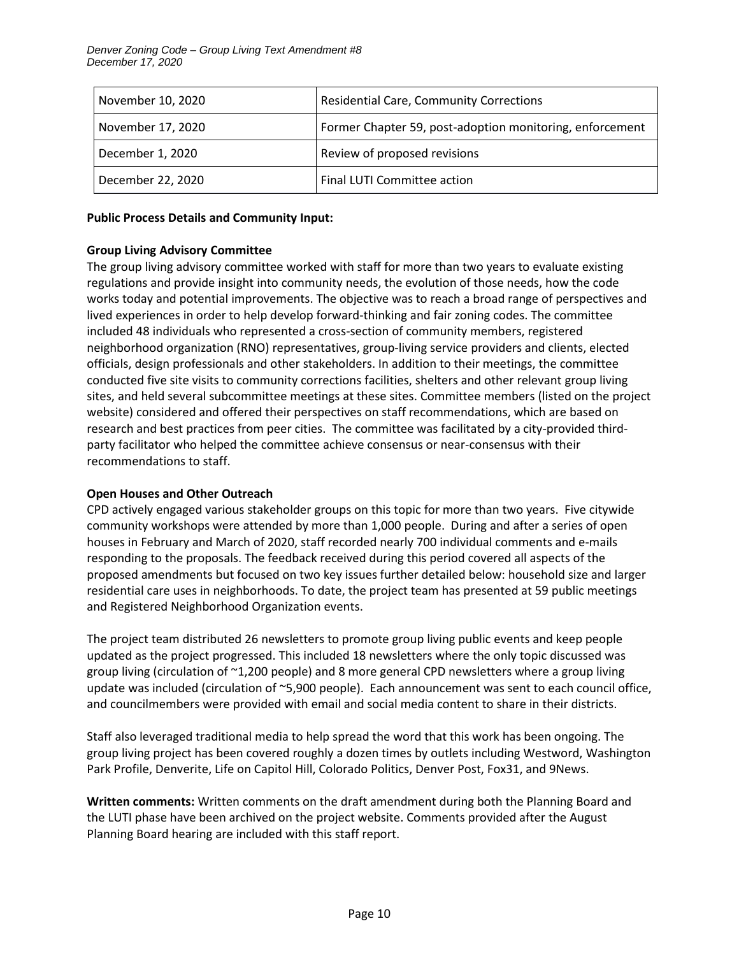| November 10, 2020 | <b>Residential Care, Community Corrections</b>           |  |
|-------------------|----------------------------------------------------------|--|
| November 17, 2020 | Former Chapter 59, post-adoption monitoring, enforcement |  |
| December 1, 2020  | Review of proposed revisions                             |  |
| December 22, 2020 | Final LUTI Committee action                              |  |

#### **Public Process Details and Community Input:**

## **Group Living Advisory Committee**

The group living advisory committee worked with staff for more than two years to evaluate existing regulations and provide insight into community needs, the evolution of those needs, how the code works today and potential improvements. The objective was to reach a broad range of perspectives and lived experiences in order to help develop forward-thinking and fair zoning codes. The committee included 48 individuals who represented a cross-section of community members, registered neighborhood organization (RNO) representatives, group-living service providers and clients, elected officials, design professionals and other stakeholders. In addition to their meetings, the committee conducted five site visits to community corrections facilities, shelters and other relevant group living sites, and held several subcommittee meetings at these sites. Committee members (listed on the project website) considered and offered their perspectives on staff recommendations, which are based on research and best practices from peer cities. The committee was facilitated by a city-provided thirdparty facilitator who helped the committee achieve consensus or near-consensus with their recommendations to staff.

#### **Open Houses and Other Outreach**

CPD actively engaged various stakeholder groups on this topic for more than two years. Five citywide community workshops were attended by more than 1,000 people. During and after a series of open houses in February and March of 2020, staff recorded nearly 700 individual comments and e-mails responding to the proposals. The feedback received during this period covered all aspects of the proposed amendments but focused on two key issues further detailed below: household size and larger residential care uses in neighborhoods. To date, the project team has presented at 59 public meetings and Registered Neighborhood Organization events.

The project team distributed 26 newsletters to promote group living public events and keep people updated as the project progressed. This included 18 newsletters where the only topic discussed was group living (circulation of ~1,200 people) and 8 more general CPD newsletters where a group living update was included (circulation of ~5,900 people). Each announcement was sent to each council office, and councilmembers were provided with email and social media content to share in their districts.

Staff also leveraged traditional media to help spread the word that this work has been ongoing. The group living project has been covered roughly a dozen times by outlets including Westword, Washington Park Profile, Denverite, Life on Capitol Hill, Colorado Politics, Denver Post, Fox31, and 9News.

**Written comments:** Written comments on the draft amendment during both the Planning Board and the LUTI phase have been archived on the project website. Comments provided after the August Planning Board hearing are included with this staff report.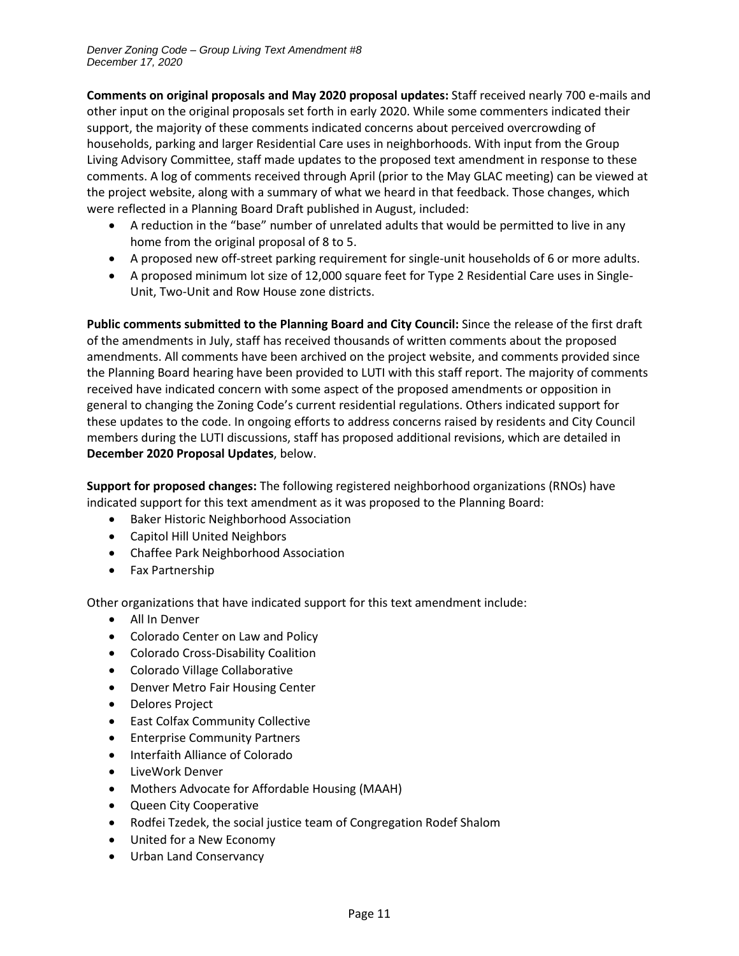**Comments on original proposals and May 2020 proposal updates:** Staff received nearly 700 e-mails and other input on the original proposals set forth in early 2020. While some commenters indicated their support, the majority of these comments indicated concerns about perceived overcrowding of households, parking and larger Residential Care uses in neighborhoods. With input from the Group Living Advisory Committee, staff made updates to the proposed text amendment in response to these comments. A log of comments received through April (prior to the May GLAC meeting) can be viewed at the project website, along with a summary of what we heard in that feedback. Those changes, which were reflected in a Planning Board Draft published in August, included:

- A reduction in the "base" number of unrelated adults that would be permitted to live in any home from the original proposal of 8 to 5.
- A proposed new off-street parking requirement for single-unit households of 6 or more adults.
- A proposed minimum lot size of 12,000 square feet for Type 2 Residential Care uses in Single-Unit, Two-Unit and Row House zone districts.

**Public comments submitted to the Planning Board and City Council:** Since the release of the first draft of the amendments in July, staff has received thousands of written comments about the proposed amendments. All comments have been archived on the project website, and comments provided since the Planning Board hearing have been provided to LUTI with this staff report. The majority of comments received have indicated concern with some aspect of the proposed amendments or opposition in general to changing the Zoning Code's current residential regulations. Others indicated support for these updates to the code. In ongoing efforts to address concerns raised by residents and City Council members during the LUTI discussions, staff has proposed additional revisions, which are detailed in **December 2020 Proposal Updates**, below.

**Support for proposed changes:** The following registered neighborhood organizations (RNOs) have indicated support for this text amendment as it was proposed to the Planning Board:

- Baker Historic Neighborhood Association
- Capitol Hill United Neighbors
- Chaffee Park Neighborhood Association
- Fax Partnership

Other organizations that have indicated support for this text amendment include:

- All In Denver
- Colorado Center on Law and Policy
- Colorado Cross-Disability Coalition
- Colorado Village Collaborative
- Denver Metro Fair Housing Center
- Delores Project
- East Colfax Community Collective
- Enterprise Community Partners
- Interfaith Alliance of Colorado
- LiveWork Denver
- Mothers Advocate for Affordable Housing (MAAH)
- Queen City Cooperative
- Rodfei Tzedek, the social justice team of Congregation Rodef Shalom
- United for a New Economy
- Urban Land Conservancy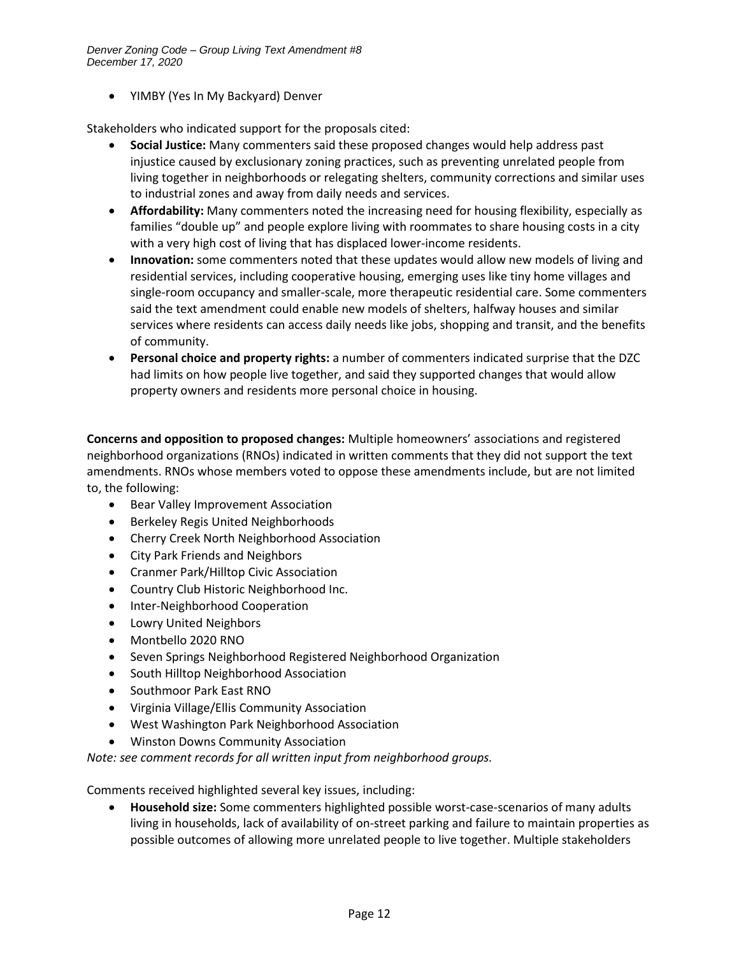• YIMBY (Yes In My Backyard) Denver

Stakeholders who indicated support for the proposals cited:

- **Social Justice:** Many commenters said these proposed changes would help address past injustice caused by exclusionary zoning practices, such as preventing unrelated people from living together in neighborhoods or relegating shelters, community corrections and similar uses to industrial zones and away from daily needs and services.
- **Affordability:** Many commenters noted the increasing need for housing flexibility, especially as families "double up" and people explore living with roommates to share housing costs in a city with a very high cost of living that has displaced lower-income residents.
- **Innovation:** some commenters noted that these updates would allow new models of living and residential services, including cooperative housing, emerging uses like tiny home villages and single-room occupancy and smaller-scale, more therapeutic residential care. Some commenters said the text amendment could enable new models of shelters, halfway houses and similar services where residents can access daily needs like jobs, shopping and transit, and the benefits of community.
- **Personal choice and property rights:** a number of commenters indicated surprise that the DZC had limits on how people live together, and said they supported changes that would allow property owners and residents more personal choice in housing.

**Concerns and opposition to proposed changes:** Multiple homeowners' associations and registered neighborhood organizations (RNOs) indicated in written comments that they did not support the text amendments. RNOs whose members voted to oppose these amendments include, but are not limited to, the following:

- Bear Valley Improvement Association
- Berkeley Regis United Neighborhoods
- Cherry Creek North Neighborhood Association
- City Park Friends and Neighbors
- Cranmer Park/Hilltop Civic Association
- Country Club Historic Neighborhood Inc.
- Inter-Neighborhood Cooperation
- Lowry United Neighbors
- Montbello 2020 RNO
- Seven Springs Neighborhood Registered Neighborhood Organization
- South Hilltop Neighborhood Association
- Southmoor Park East RNO
- Virginia Village/Ellis Community Association
- West Washington Park Neighborhood Association
- Winston Downs Community Association

*Note: see comment records for all written input from neighborhood groups.*

Comments received highlighted several key issues, including:

• **Household size:** Some commenters highlighted possible worst-case-scenarios of many adults living in households, lack of availability of on-street parking and failure to maintain properties as possible outcomes of allowing more unrelated people to live together. Multiple stakeholders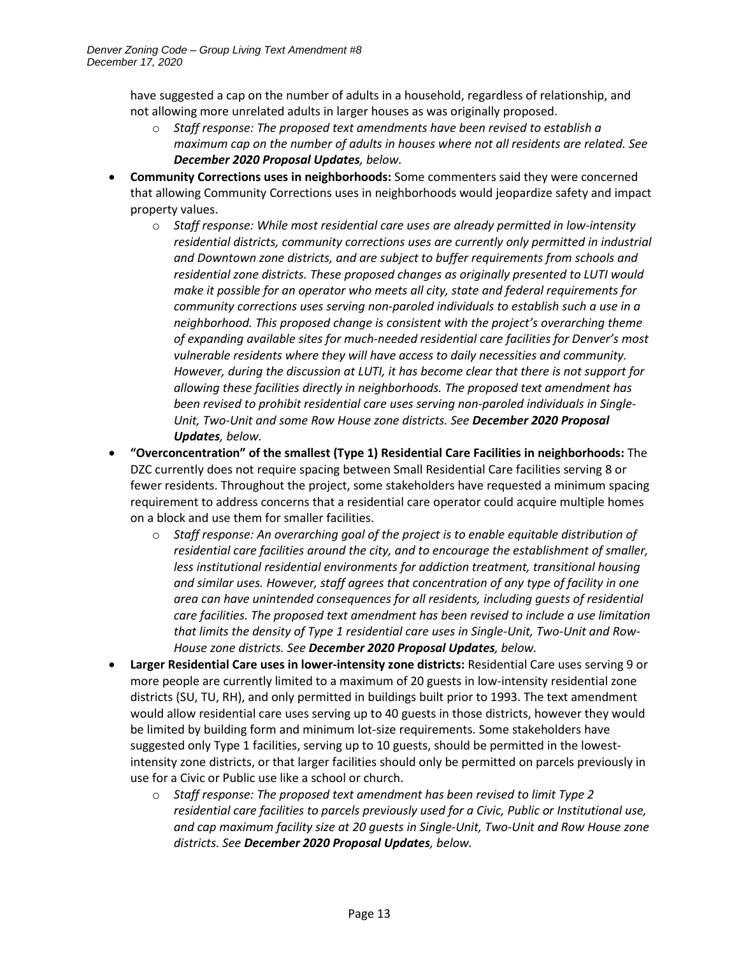have suggested a cap on the number of adults in a household, regardless of relationship, and not allowing more unrelated adults in larger houses as was originally proposed.

- o *Staff response: The proposed text amendments have been revised to establish a maximum cap on the number of adults in houses where not all residents are related. See December 2020 Proposal Updates, below.*
- **Community Corrections uses in neighborhoods:** Some commenters said they were concerned that allowing Community Corrections uses in neighborhoods would jeopardize safety and impact property values.
	- o *Staff response: While most residential care uses are already permitted in low-intensity residential districts, community corrections uses are currently only permitted in industrial and Downtown zone districts, and are subject to buffer requirements from schools and residential zone districts. These proposed changes as originally presented to LUTI would make it possible for an operator who meets all city, state and federal requirements for community corrections uses serving non-paroled individuals to establish such a use in a neighborhood. This proposed change is consistent with the project's overarching theme of expanding available sites for much-needed residential care facilities for Denver's most vulnerable residents where they will have access to daily necessities and community. However, during the discussion at LUTI, it has become clear that there is not support for allowing these facilities directly in neighborhoods. The proposed text amendment has been revised to prohibit residential care uses serving non-paroled individuals in Single-Unit, Two-Unit and some Row House zone districts. See December 2020 Proposal Updates, below.*
- **"Overconcentration" of the smallest (Type 1) Residential Care Facilities in neighborhoods:** The DZC currently does not require spacing between Small Residential Care facilities serving 8 or fewer residents. Throughout the project, some stakeholders have requested a minimum spacing requirement to address concerns that a residential care operator could acquire multiple homes on a block and use them for smaller facilities.
	- o *Staff response: An overarching goal of the project is to enable equitable distribution of residential care facilities around the city, and to encourage the establishment of smaller, less institutional residential environments for addiction treatment, transitional housing and similar uses. However, staff agrees that concentration of any type of facility in one area can have unintended consequences for all residents, including guests of residential care facilities. The proposed text amendment has been revised to include a use limitation that limits the density of Type 1 residential care uses in Single-Unit, Two-Unit and Row-House zone districts. See December 2020 Proposal Updates, below.*
- **Larger Residential Care uses in lower-intensity zone districts:** Residential Care uses serving 9 or more people are currently limited to a maximum of 20 guests in low-intensity residential zone districts (SU, TU, RH), and only permitted in buildings built prior to 1993. The text amendment would allow residential care uses serving up to 40 guests in those districts, however they would be limited by building form and minimum lot-size requirements. Some stakeholders have suggested only Type 1 facilities, serving up to 10 guests, should be permitted in the lowestintensity zone districts, or that larger facilities should only be permitted on parcels previously in use for a Civic or Public use like a school or church.
	- o *Staff response: The proposed text amendment has been revised to limit Type 2 residential care facilities to parcels previously used for a Civic, Public or Institutional use, and cap maximum facility size at 20 guests in Single-Unit, Two-Unit and Row House zone districts. See December 2020 Proposal Updates, below.*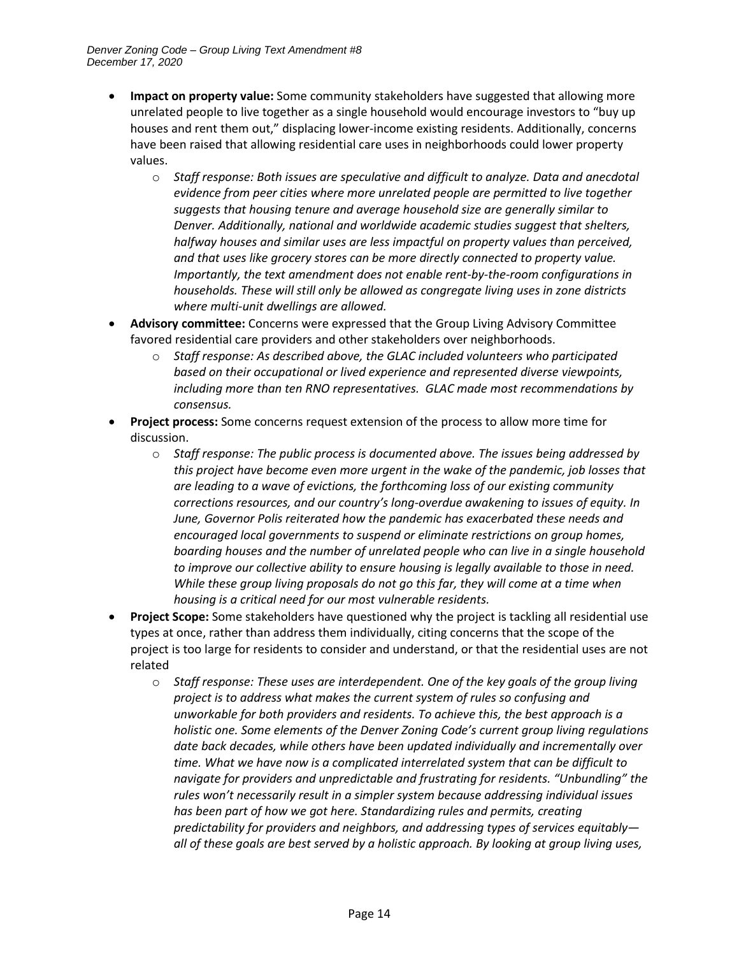- **Impact on property value:** Some community stakeholders have suggested that allowing more unrelated people to live together as a single household would encourage investors to "buy up houses and rent them out," displacing lower-income existing residents. Additionally, concerns have been raised that allowing residential care uses in neighborhoods could lower property values.
	- o *Staff response: Both issues are speculative and difficult to analyze. Data and anecdotal evidence from peer cities where more unrelated people are permitted to live together suggests that housing tenure and average household size are generally similar to Denver. Additionally, national and worldwide academic studies suggest that shelters, halfway houses and similar uses are less impactful on property values than perceived, and that uses like grocery stores can be more directly connected to property value. Importantly, the text amendment does not enable rent-by-the-room configurations in households. These will still only be allowed as congregate living uses in zone districts where multi-unit dwellings are allowed.*
- **Advisory committee:** Concerns were expressed that the Group Living Advisory Committee favored residential care providers and other stakeholders over neighborhoods.
	- o *Staff response: As described above, the GLAC included volunteers who participated based on their occupational or lived experience and represented diverse viewpoints, including more than ten RNO representatives. GLAC made most recommendations by consensus.*
- **Project process:** Some concerns request extension of the process to allow more time for discussion.
	- o *Staff response: The public process is documented above. The issues being addressed by this project have become even more urgent in the wake of the pandemic, job losses that are leading to a wave of evictions, the forthcoming loss of our existing community corrections resources, and our country's long-overdue awakening to issues of equity. In June, Governor Polis reiterated how the pandemic has exacerbated these needs and encouraged local governments to suspend or eliminate restrictions on group homes, boarding houses and the number of unrelated people who can live in a single household to improve our collective ability to ensure housing is legally available to those in need. While these group living proposals do not go this far, they will come at a time when housing is a critical need for our most vulnerable residents.*
- **Project Scope:** Some stakeholders have questioned why the project is tackling all residential use types at once, rather than address them individually, citing concerns that the scope of the project is too large for residents to consider and understand, or that the residential uses are not related
	- o *Staff response: These uses are interdependent. One of the key goals of the group living project is to address what makes the current system of rules so confusing and unworkable for both providers and residents. To achieve this, the best approach is a holistic one. Some elements of the Denver Zoning Code's current group living regulations date back decades, while others have been updated individually and incrementally over time. What we have now is a complicated interrelated system that can be difficult to navigate for providers and unpredictable and frustrating for residents. "Unbundling" the rules won't necessarily result in a simpler system because addressing individual issues has been part of how we got here. Standardizing rules and permits, creating predictability for providers and neighbors, and addressing types of services equitably all of these goals are best served by a holistic approach. By looking at group living uses,*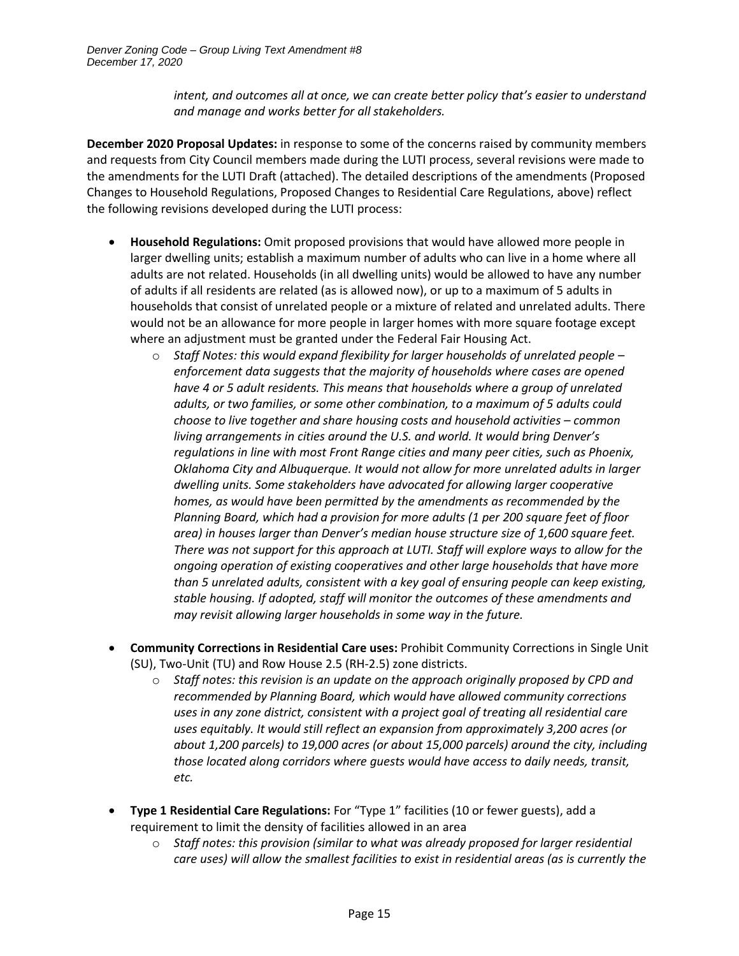*intent, and outcomes all at once, we can create better policy that's easier to understand and manage and works better for all stakeholders.*

**December 2020 Proposal Updates:** in response to some of the concerns raised by community members and requests from City Council members made during the LUTI process, several revisions were made to the amendments for the LUTI Draft (attached). The detailed descriptions of the amendments (Proposed Changes to Household Regulations, Proposed Changes to Residential Care Regulations, above) reflect the following revisions developed during the LUTI process:

- **Household Regulations:** Omit proposed provisions that would have allowed more people in larger dwelling units; establish a maximum number of adults who can live in a home where all adults are not related. Households (in all dwelling units) would be allowed to have any number of adults if all residents are related (as is allowed now), or up to a maximum of 5 adults in households that consist of unrelated people or a mixture of related and unrelated adults. There would not be an allowance for more people in larger homes with more square footage except where an adjustment must be granted under the Federal Fair Housing Act.
	- o *Staff Notes: this would expand flexibility for larger households of unrelated people – enforcement data suggests that the majority of households where cases are opened have 4 or 5 adult residents. This means that households where a group of unrelated adults, or two families, or some other combination, to a maximum of 5 adults could choose to live together and share housing costs and household activities – common living arrangements in cities around the U.S. and world. It would bring Denver's regulations in line with most Front Range cities and many peer cities, such as Phoenix, Oklahoma City and Albuquerque. It would not allow for more unrelated adults in larger dwelling units. Some stakeholders have advocated for allowing larger cooperative homes, as would have been permitted by the amendments as recommended by the Planning Board, which had a provision for more adults (1 per 200 square feet of floor area) in houses larger than Denver's median house structure size of 1,600 square feet. There was not support for this approach at LUTI. Staff will explore ways to allow for the ongoing operation of existing cooperatives and other large households that have more than 5 unrelated adults, consistent with a key goal of ensuring people can keep existing, stable housing. If adopted, staff will monitor the outcomes of these amendments and may revisit allowing larger households in some way in the future.*
- **Community Corrections in Residential Care uses:** Prohibit Community Corrections in Single Unit (SU), Two-Unit (TU) and Row House 2.5 (RH-2.5) zone districts.
	- o *Staff notes: this revision is an update on the approach originally proposed by CPD and recommended by Planning Board, which would have allowed community corrections uses in any zone district, consistent with a project goal of treating all residential care uses equitably. It would still reflect an expansion from approximately 3,200 acres (or about 1,200 parcels) to 19,000 acres (or about 15,000 parcels) around the city, including those located along corridors where guests would have access to daily needs, transit, etc.*
- **Type 1 Residential Care Regulations:** For "Type 1" facilities (10 or fewer guests), add a requirement to limit the density of facilities allowed in an area
	- o *Staff notes: this provision (similar to what was already proposed for larger residential care uses) will allow the smallest facilities to exist in residential areas (as is currently the*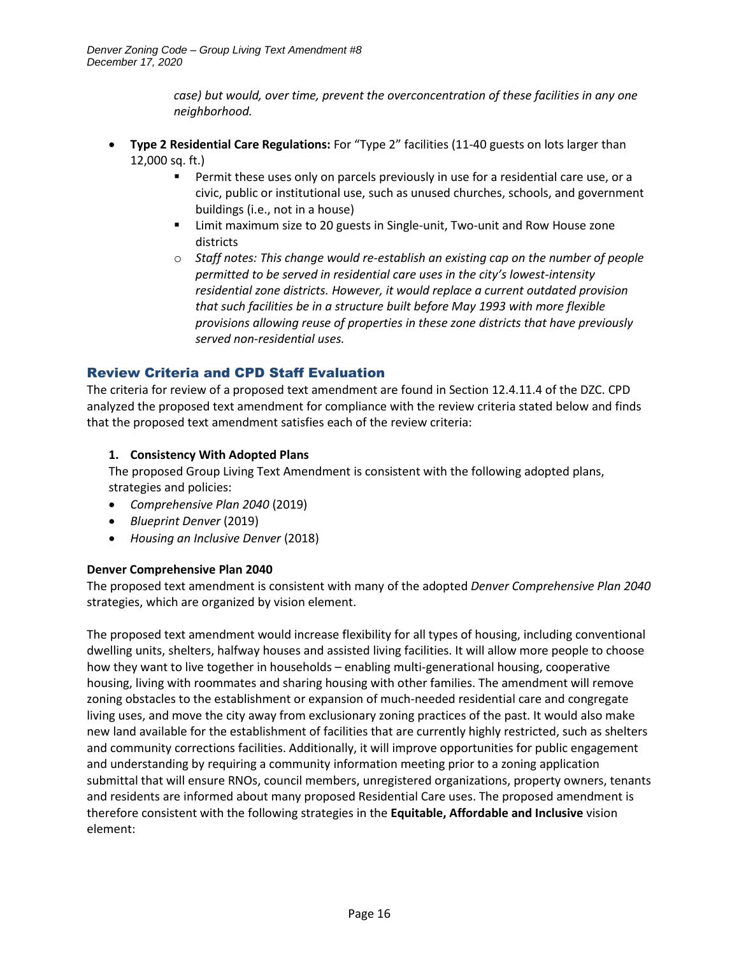*case) but would, over time, prevent the overconcentration of these facilities in any one neighborhood.*

- **Type 2 Residential Care Regulations:** For "Type 2" facilities (11-40 guests on lots larger than 12,000 sq. ft.)
	- **•** Permit these uses only on parcels previously in use for a residential care use, or a civic, public or institutional use, such as unused churches, schools, and government buildings (i.e., not in a house)
	- Limit maximum size to 20 guests in Single-unit, Two-unit and Row House zone districts
	- o *Staff notes: This change would re-establish an existing cap on the number of people permitted to be served in residential care uses in the city's lowest-intensity residential zone districts. However, it would replace a current outdated provision that such facilities be in a structure built before May 1993 with more flexible provisions allowing reuse of properties in these zone districts that have previously served non-residential uses.*

## Review Criteria and CPD Staff Evaluation

The criteria for review of a proposed text amendment are found in Section 12.4.11.4 of the DZC. CPD analyzed the proposed text amendment for compliance with the review criteria stated below and finds that the proposed text amendment satisfies each of the review criteria:

## **1. Consistency With Adopted Plans**

The proposed Group Living Text Amendment is consistent with the following adopted plans, strategies and policies:

- *Comprehensive Plan 2040* (2019)
- *Blueprint Denver* (2019)
- *Housing an Inclusive Denver* (2018)

#### **Denver Comprehensive Plan 2040**

The proposed text amendment is consistent with many of the adopted *Denver Comprehensive Plan 2040* strategies, which are organized by vision element.

The proposed text amendment would increase flexibility for all types of housing, including conventional dwelling units, shelters, halfway houses and assisted living facilities. It will allow more people to choose how they want to live together in households – enabling multi-generational housing, cooperative housing, living with roommates and sharing housing with other families. The amendment will remove zoning obstacles to the establishment or expansion of much-needed residential care and congregate living uses, and move the city away from exclusionary zoning practices of the past. It would also make new land available for the establishment of facilities that are currently highly restricted, such as shelters and community corrections facilities. Additionally, it will improve opportunities for public engagement and understanding by requiring a community information meeting prior to a zoning application submittal that will ensure RNOs, council members, unregistered organizations, property owners, tenants and residents are informed about many proposed Residential Care uses. The proposed amendment is therefore consistent with the following strategies in the **Equitable, Affordable and Inclusive** vision element: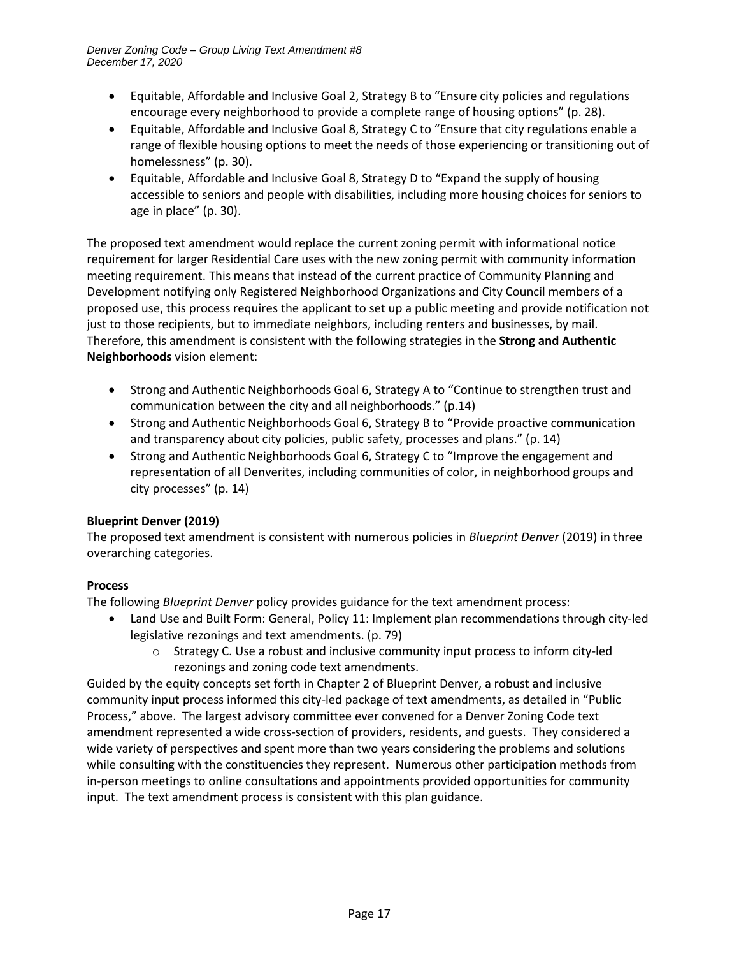- Equitable, Affordable and Inclusive Goal 2, Strategy B to "Ensure city policies and regulations encourage every neighborhood to provide a complete range of housing options" (p. 28).
- Equitable, Affordable and Inclusive Goal 8, Strategy C to "Ensure that city regulations enable a range of flexible housing options to meet the needs of those experiencing or transitioning out of homelessness" (p. 30).
- Equitable, Affordable and Inclusive Goal 8, Strategy D to "Expand the supply of housing accessible to seniors and people with disabilities, including more housing choices for seniors to age in place" (p. 30).

The proposed text amendment would replace the current zoning permit with informational notice requirement for larger Residential Care uses with the new zoning permit with community information meeting requirement. This means that instead of the current practice of Community Planning and Development notifying only Registered Neighborhood Organizations and City Council members of a proposed use, this process requires the applicant to set up a public meeting and provide notification not just to those recipients, but to immediate neighbors, including renters and businesses, by mail. Therefore, this amendment is consistent with the following strategies in the **Strong and Authentic Neighborhoods** vision element:

- Strong and Authentic Neighborhoods Goal 6, Strategy A to "Continue to strengthen trust and communication between the city and all neighborhoods." (p.14)
- Strong and Authentic Neighborhoods Goal 6, Strategy B to "Provide proactive communication and transparency about city policies, public safety, processes and plans." (p. 14)
- Strong and Authentic Neighborhoods Goal 6, Strategy C to "Improve the engagement and representation of all Denverites, including communities of color, in neighborhood groups and city processes" (p. 14)

## **Blueprint Denver (2019)**

The proposed text amendment is consistent with numerous policies in *Blueprint Denver* (2019) in three overarching categories.

## **Process**

The following *Blueprint Denver* policy provides guidance for the text amendment process:

- Land Use and Built Form: General, Policy 11: Implement plan recommendations through city-led legislative rezonings and text amendments. (p. 79)
	- $\circ$  Strategy C. Use a robust and inclusive community input process to inform city-led rezonings and zoning code text amendments.

Guided by the equity concepts set forth in Chapter 2 of Blueprint Denver, a robust and inclusive community input process informed this city-led package of text amendments, as detailed in "Public Process," above. The largest advisory committee ever convened for a Denver Zoning Code text amendment represented a wide cross-section of providers, residents, and guests. They considered a wide variety of perspectives and spent more than two years considering the problems and solutions while consulting with the constituencies they represent. Numerous other participation methods from in-person meetings to online consultations and appointments provided opportunities for community input. The text amendment process is consistent with this plan guidance.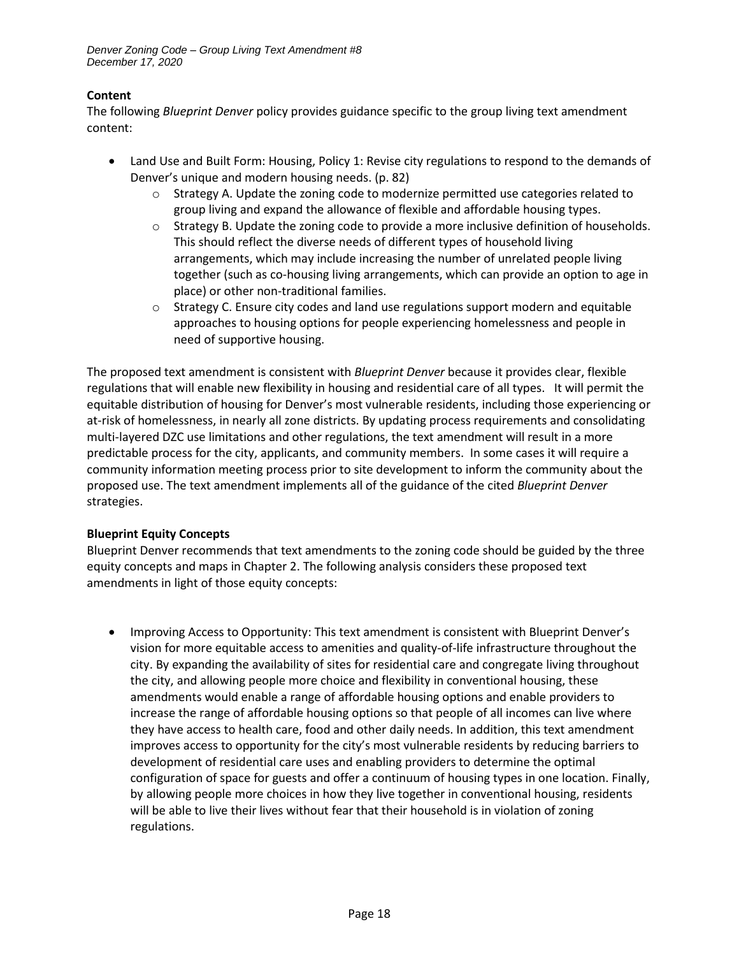#### **Content**

The following *Blueprint Denver* policy provides guidance specific to the group living text amendment content:

- Land Use and Built Form: Housing, Policy 1: Revise city regulations to respond to the demands of Denver's unique and modern housing needs. (p. 82)
	- $\circ$  Strategy A. Update the zoning code to modernize permitted use categories related to group living and expand the allowance of flexible and affordable housing types.
	- $\circ$  Strategy B. Update the zoning code to provide a more inclusive definition of households. This should reflect the diverse needs of different types of household living arrangements, which may include increasing the number of unrelated people living together (such as co-housing living arrangements, which can provide an option to age in place) or other non-traditional families.
	- $\circ$  Strategy C. Ensure city codes and land use regulations support modern and equitable approaches to housing options for people experiencing homelessness and people in need of supportive housing.

The proposed text amendment is consistent with *Blueprint Denver* because it provides clear, flexible regulations that will enable new flexibility in housing and residential care of all types. It will permit the equitable distribution of housing for Denver's most vulnerable residents, including those experiencing or at-risk of homelessness, in nearly all zone districts. By updating process requirements and consolidating multi-layered DZC use limitations and other regulations, the text amendment will result in a more predictable process for the city, applicants, and community members. In some cases it will require a community information meeting process prior to site development to inform the community about the proposed use. The text amendment implements all of the guidance of the cited *Blueprint Denver* strategies.

## **Blueprint Equity Concepts**

Blueprint Denver recommends that text amendments to the zoning code should be guided by the three equity concepts and maps in Chapter 2. The following analysis considers these proposed text amendments in light of those equity concepts:

• Improving Access to Opportunity: This text amendment is consistent with Blueprint Denver's vision for more equitable access to amenities and quality-of-life infrastructure throughout the city. By expanding the availability of sites for residential care and congregate living throughout the city, and allowing people more choice and flexibility in conventional housing, these amendments would enable a range of affordable housing options and enable providers to increase the range of affordable housing options so that people of all incomes can live where they have access to health care, food and other daily needs. In addition, this text amendment improves access to opportunity for the city's most vulnerable residents by reducing barriers to development of residential care uses and enabling providers to determine the optimal configuration of space for guests and offer a continuum of housing types in one location. Finally, by allowing people more choices in how they live together in conventional housing, residents will be able to live their lives without fear that their household is in violation of zoning regulations.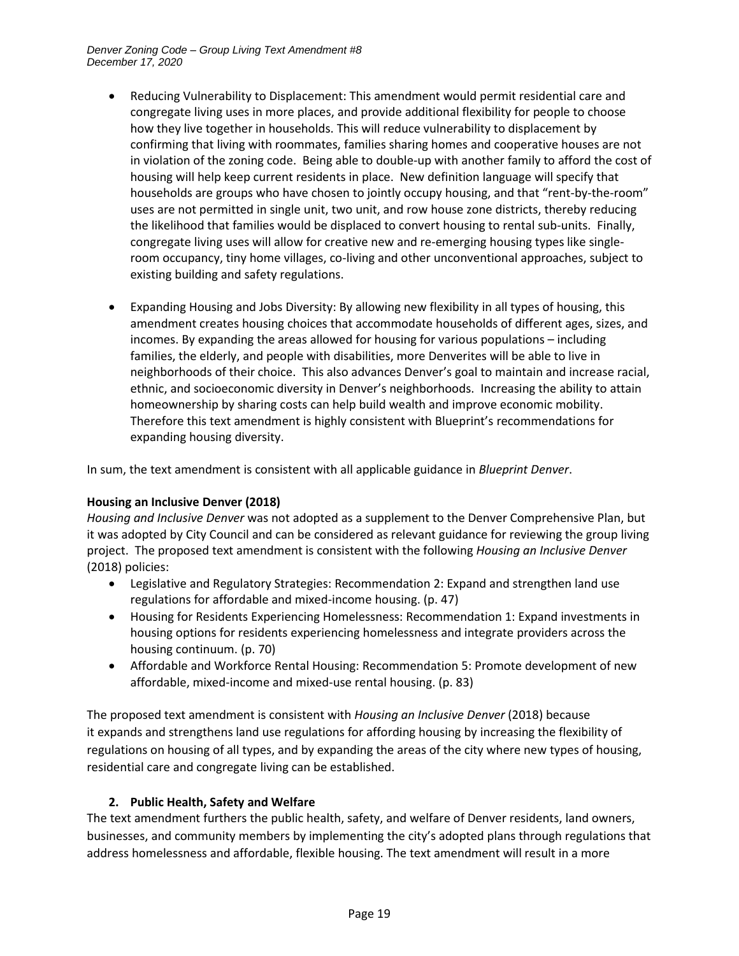- Reducing Vulnerability to Displacement: This amendment would permit residential care and congregate living uses in more places, and provide additional flexibility for people to choose how they live together in households. This will reduce vulnerability to displacement by confirming that living with roommates, families sharing homes and cooperative houses are not in violation of the zoning code. Being able to double-up with another family to afford the cost of housing will help keep current residents in place. New definition language will specify that households are groups who have chosen to jointly occupy housing, and that "rent-by-the-room" uses are not permitted in single unit, two unit, and row house zone districts, thereby reducing the likelihood that families would be displaced to convert housing to rental sub-units. Finally, congregate living uses will allow for creative new and re-emerging housing types like singleroom occupancy, tiny home villages, co-living and other unconventional approaches, subject to existing building and safety regulations.
- Expanding Housing and Jobs Diversity: By allowing new flexibility in all types of housing, this amendment creates housing choices that accommodate households of different ages, sizes, and incomes. By expanding the areas allowed for housing for various populations – including families, the elderly, and people with disabilities, more Denverites will be able to live in neighborhoods of their choice. This also advances Denver's goal to maintain and increase racial, ethnic, and socioeconomic diversity in Denver's neighborhoods. Increasing the ability to attain homeownership by sharing costs can help build wealth and improve economic mobility. Therefore this text amendment is highly consistent with Blueprint's recommendations for expanding housing diversity.

In sum, the text amendment is consistent with all applicable guidance in *Blueprint Denver*.

#### **Housing an Inclusive Denver (2018)**

*Housing and Inclusive Denver* was not adopted as a supplement to the Denver Comprehensive Plan, but it was adopted by City Council and can be considered as relevant guidance for reviewing the group living project. The proposed text amendment is consistent with the following *Housing an Inclusive Denver* (2018) policies:

- Legislative and Regulatory Strategies: Recommendation 2: Expand and strengthen land use regulations for affordable and mixed-income housing. (p. 47)
- Housing for Residents Experiencing Homelessness: Recommendation 1: Expand investments in housing options for residents experiencing homelessness and integrate providers across the housing continuum. (p. 70)
- Affordable and Workforce Rental Housing: Recommendation 5: Promote development of new affordable, mixed-income and mixed-use rental housing. (p. 83)

The proposed text amendment is consistent with *Housing an Inclusive Denver* (2018) because it expands and strengthens land use regulations for affording housing by increasing the flexibility of regulations on housing of all types, and by expanding the areas of the city where new types of housing, residential care and congregate living can be established.

## **2. Public Health, Safety and Welfare**

The text amendment furthers the public health, safety, and welfare of Denver residents, land owners, businesses, and community members by implementing the city's adopted plans through regulations that address homelessness and affordable, flexible housing. The text amendment will result in a more